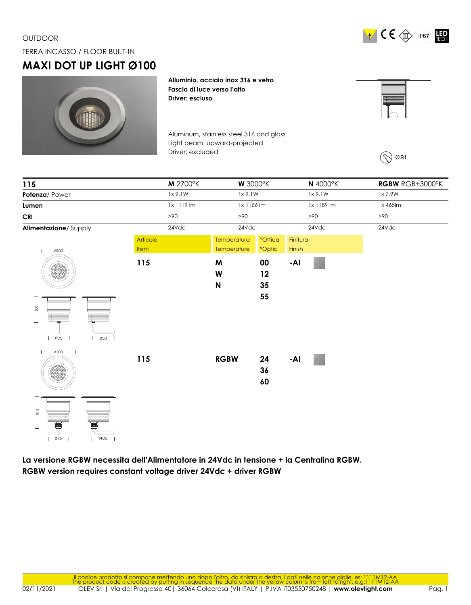$\blacktriangleright$   $\blacktriangleleft$   $\mathsf{C}\in\mathsf{C}\oplus\mathsf{C}$  IP67 LED

## TERRA INCASSO / FLOOR BUILT-IN

## **MAXI DOT UP LIGHT Ø100**



**Alluminio, acciaio inox 316 e vetro Fascio di luce verso l'alto Driver: escluso**

Aluminum, stainless steel 316 and glass Light beam: upward-projected Driver: excluded



**La versione RGBW necessita dell'Alimentatore in 24Vdc in tensione + la Centralina RGBW. RGBW version requires constant voltage driver 24Vdc + driver RGBW**